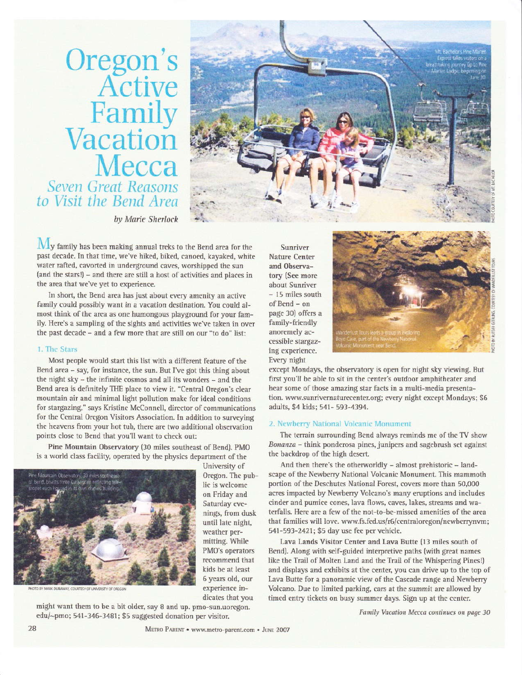Oregon's<br>Active Family Vacation Mecca Seven Great Reasons<br>to Visit the Bend Area



by Marie Sherlock

My family has been making annual treks to the Bend area for the past decade. In that time, we've hiked, biked, canoed, kayaked, white water rafted, cavorted in underground caves, worshipped the sun (and the stars!) - and there are still a host of activities and places in the area that we've yet to experience.

In short, the Bend area has just about every amenity an active family could possibly want in a vacation destination. You could almost think of the area as one humongous playground for your family. Here's a sampling of the sights and activities we've taken in over the past decade - and a few more that are still on our "to do" list:

#### 1. The Stars

Most people would start this list with a different feature of the Bend area - say, for instance, the sun. But I've got this thing about the night sky - the infinite cosmos and all its wonders - and the Bend area is definitely THE place to view it. "Central Oregon's clear mountain air and minimal light pollution make for ideal conditions for stargazing," says Kristine McConnell, director of communications for the Central Oregon Visitors Association. In addition to surveying the heavens from your hot tub, there are two additional observation points close to Bend that you'll want to check out:

Pine Mountain Observatory (30 miles southeast of Bend). PMO is a world class facility, operated by the physics department of the

might want them to be a bit older, say 8 and up. pmo-sun.uoregon.

edu/~pmo; 541-346-3481; \$5 suggested donation per visitor.



University of Oregon. The public is welcome on Friday and Saturday evenings, from dusk until late night, weather permitting. While PMO's operators recommend that kids be at least 6 years old, our experience indicates that you

Sunriver Nature Center and Observatory (See more about Sunriver - 15 miles south of Bend - on page 30) offers a family-friendly anoremely accessible stargazing experience. Every night



except Mondays, the observatory is open for night sky viewing. But first you'll be able to sit in the center's outdoor amphitheater and hear some of those amazing star facts in a multi-media presentation. www.sunrivernaturecenter.org; every night except Mondays; \$6 adults, \$4 kids; 541- 593-4394.

#### 2. Newberry National Volcanic Monument

The terrain surrounding Bend always reminds me of the TV show Bonanza - think ponderosa pines, junipers and sagebrush set against the backdrop of the high desert.

And then there's the otherworldly - almost prehistoric - landscape of the Newberry National Volcanic Monument. This mammoth portion of the Deschutes National Forest, covers more than 50,000 acres impacted by Newberry Volcano's many eruptions and includes cinder and pumice cones, lava flows, caves, lakes, streams and waterfalls. Here are a few of the not-to-be-missed amenities of the area that families will love. www.fs.fed.us/r6/centraloregon/newberrynvm; 541-593-2421; \$5 day use fee per vehicle.

Lava Lands Visitor Center and Lava Butte (13 miles south of Bend). Along with self-guided interpretive paths (with great names like the Trail of Molten Land and the Trail of the Whispering Pines!) and displays and exhibits at the center, you can drive up to the top of Lava Butte for a panoramic view of the Cascade range and Newberry Volcano. Due to limited parking, cars at the summit are allowed by timed entry tickets on busy summer days. Sign up at the center.

Family Vacation Mecca continues on page 30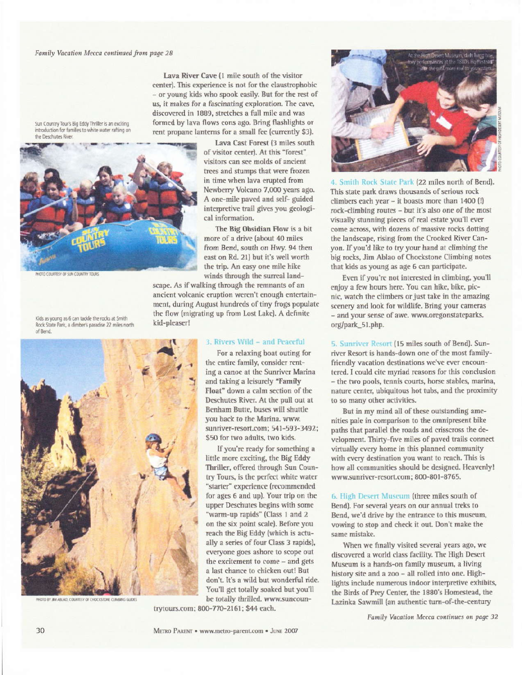Lava River Cave (1 mile south of the visitor center). This experience is not for the claustrophobic - or young kids who spook easily. But for the rest of us, it makes for a fascinating exploration. The cave, discovered in 1889, stretches a full mile and was formed by lava flows eons ago. Bring flashlights or rent propane lanterns for a small fee (currently \$3).

Sun Country Tour's Big Eddy Thriller is an exciting introduction for families to white water rafting on the Deschutes River.

Kids as young as 6 can tackle the rocks at Smith

of Bend.

Rock State Park, a climber's paradise 22 miles north



Lava Cast Forest (3 miles south of visitor center). At this "forest" visitors can see molds of ancient trees and stumps that were frozen in time when lava erupted from Newberry Volcano 7,000 years ago. A one-mile paved and self- guided interpretive trail gives you geological information.

The Big Obsidian Flow is a bit more of a drive (about 40 miles from Bend, south on Hwy. 94 then east on Rd. 21) but it's well worth the trip. An easy one mile hike winds through the surreal land-

scape. As if walking through the remnants of an ancient volcanic eruption weren't enough entertainment, during August hundreds of tiny frogs populate the flow (migrating up from Lost Lake). A definite kid-pleaser!

HOTO BY #A ABLAD, COUKTESY OF CHOCKSTONE CUMBING GUIDES

#### 3. Rivers Wild - and Peaceful

For a relaxing boat outing for the entire family, consider renting a canoe at the Sunriver Marina and taking a leisurely "Family Float" down a calm section of the Deschutes River. At the pull out at Benham Butte, buses will shuttle you back to the Marina. www. sunriver-resort.com; 541-593-3492; \$50 for two adults, two kids.

If you're ready for something a little more exciting, the Big Eddy Thriller, offered through Sun Country Tours, is the perfect white water "starter" experience (recommended for ages 6 and up). Your trip on the upper Deschutes begins with some warm-up rapids" (Class 1 and 2 on the six point scale). Before you reach the Big Eddy (which is actually a series of four Class 3 rapids), everyone goes ashore to scope out the excitement to come - and gets a last chance to chicken out! But don't. It's a wild but wonderful ride. You'll get totally soaked but you'll be totally thrilled. www.suncoun-

trytours.com; 800-770-2161; \$44 each.





4. Smith Rock State Park (22 miles north of Bend). This state park draws thousands of serious rock climbers each year - it boasts more than 1400 (!) rock-climbing routes - but it's also one of the most visually stunning pieces of real estate you'll ever come across, with dozens of massive rocks dotting the landscape, rising from the Crooked River Canyon. If you'd like to try your hand at climbing the big rocks, Jim Ablao of Chockstone Climbing notes that kids as young as age 6 can participate.

Even if you're not interested in climbing, you'll enjoy a few hours here. You can hike, bike, picnic, watch the climbers or just take in the amazing scenery and look for wildlife. Bring your cameras - and your sense of awe. www.oregonstateparks. org/park\_51.php.

5. Sunriver Resort (15 miles south of Bend). Sunriver Resort is hands-down one of the most familyfriendly vacation destinations we've ever encountered. I could cite myriad reasons for this conclusion - the two pools, tennis courts, horse stables, marina, nature center, ubiquitous hot tubs, and the proximity to so many other activities.

But in my mind all of these outstanding amenities pale in comparison to the omnipresent bike paths that parallel the roads and crisscross the development. Thirty-five miles of paved trails connect virtually every home in this planned community with every destination you want to reach. This is how all communities should be designed. Heavenly! www.sunriver-resort.com; 800-801-8765.

6. High Desert Museum (three miles south of Bend). For several years on our annual treks to Bend, we'd drive by the entrance to this museum, vowing to stop and check it out. Don't make the same mistake.

When we finally visited several years ago, we discovered a world class facility. The High Desert Museum is a hands-on family museum, a living history site and a zoo - all rolled into one. Highlights include numerous indoor interpretive exhibits, the Birds of Prey Center, the 1880's Homestead, the Lazinka Sawmill (an authentic turn-of-the-century

Family Vacation Mecca continues on page 32